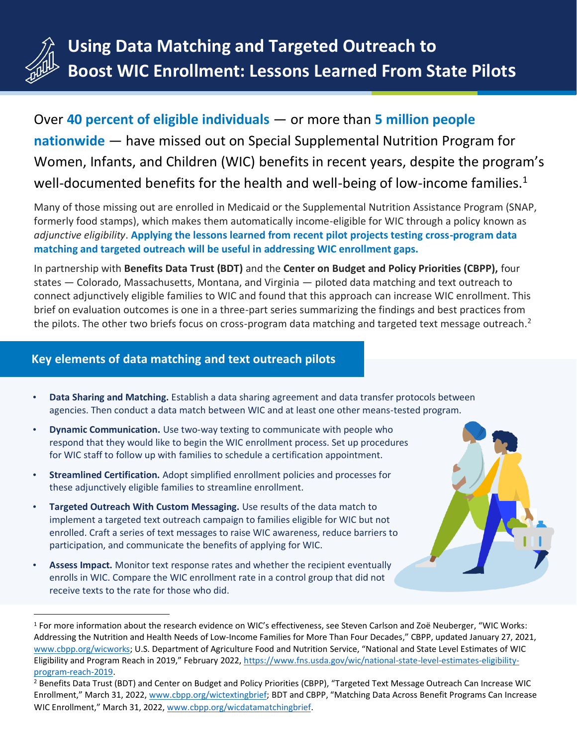

Over **40 percent of eligible individuals** — or more than **5 million people nationwide** — have missed out on Special Supplemental Nutrition Program for Women, Infants, and Children (WIC) benefits in recent years, despite the program's well-documented benefits for the health and well-being of low-income families.<sup>1</sup>

Many of those missing out are enrolled in Medicaid or the Supplemental Nutrition Assistance Program (SNAP, formerly food stamps), which makes them automatically income-eligible for WIC through a policy known as *adjunctive eligibility*. **Applying the lessons learned from recent pilot projects testing cross-program data matching and targeted outreach will be useful in addressing WIC enrollment gaps.**

In partnership with **Benefits Data Trust (BDT)** and the **Center on Budget and Policy Priorities (CBPP),** four states — Colorado, Massachusetts, Montana, and Virginia — piloted data matching and text outreach to connect adjunctively eligible families to WIC and found that this approach can increase WIC enrollment. This brief on evaluation outcomes is one in a three-part series summarizing the findings and best practices from the pilots. The other two briefs focus on cross-program data matching and targeted text message outreach.<sup>2</sup>

### **Key elements of data matching and text outreach pilots**

- **Data Sharing and Matching.** Establish a data sharing agreement and data transfer protocols between agencies. Then conduct a data match between WIC and at least one other means-tested program.
- **Dynamic Communication.** Use two-way texting to communicate with people who respond that they would like to begin the WIC enrollment process. Set up procedures for WIC staff to follow up with families to schedule a certification appointment.
- **Streamlined Certification.** Adopt simplified enrollment policies and processes for these adjunctively eligible families to streamline enrollment.
- **Targeted Outreach With Custom Messaging.** Use results of the data match to implement a targeted text outreach campaign to families eligible for WIC but not enrolled. Craft a series of text messages to raise WIC awareness, reduce barriers to participation, and communicate the benefits of applying for WIC.
- **Assess Impact.** Monitor text response rates and whether the recipient eventually enrolls in WIC. Compare the WIC enrollment rate in a control group that did not receive texts to the rate for those who did.

<sup>&</sup>lt;sup>1</sup> For more information about the research evidence on WIC's effectiveness, see Steven Carlson and Zoë Neuberger, "WIC Works: Addressing the Nutrition and Health Needs of Low-Income Families for More Than Four Decades," CBPP, updated January 27, 2021, [www.cbpp.org/wicworks;](http://www.cbpp.org/wicworks) U.S. Department of Agriculture Food and Nutrition Service, "National and State Level Estimates of WIC Eligibility and Program Reach in 2019," February 2022, [https://www.fns.usda.gov/wic/national-state-level-estimates-eligibility](https://www.fns.usda.gov/wic/national-state-level-estimates-eligibility-program-reach-2019)[program-reach-2019.](https://www.fns.usda.gov/wic/national-state-level-estimates-eligibility-program-reach-2019)

<sup>&</sup>lt;sup>2</sup> Benefits Data Trust (BDT) and Center on Budget and Policy Priorities (CBPP), "Targeted Text Message Outreach Can Increase WIC Enrollment," March 31, 2022, [www.cbpp.org/wictextingbrief](http://www.cbpp.org/wictextingbrief); BDT and CBPP, "Matching Data Across Benefit Programs Can Increase WIC Enrollment," March 31, 2022, [www.cbpp.org/wicdatamatchingbrief.](http://www.cbpp.org/wicdatamatchingbrief)